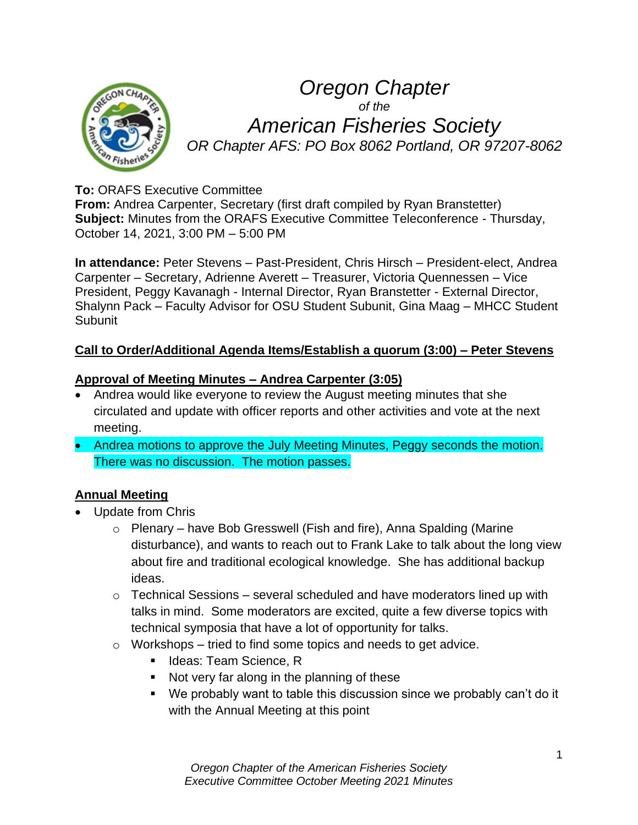

# *Oregon Chapter of the American Fisheries Society OR Chapter AFS: PO Box 8062 Portland, OR 97207-8062*

# **To:** ORAFS Executive Committee

**From:** Andrea Carpenter, Secretary (first draft compiled by Ryan Branstetter) **Subject:** Minutes from the ORAFS Executive Committee Teleconference - Thursday, October 14, 2021, 3:00 PM – 5:00 PM

**In attendance:** Peter Stevens – Past-President, Chris Hirsch – President-elect, Andrea Carpenter – Secretary, Adrienne Averett – Treasurer, Victoria Quennessen – Vice President, Peggy Kavanagh - Internal Director, Ryan Branstetter - External Director, Shalynn Pack – Faculty Advisor for OSU Student Subunit, Gina Maag – MHCC Student **Subunit** 

# **Call to Order/Additional Agenda Items/Establish a quorum (3:00) – Peter Stevens**

# **Approval of Meeting Minutes – Andrea Carpenter (3:05)**

- Andrea would like everyone to review the August meeting minutes that she circulated and update with officer reports and other activities and vote at the next meeting.
- Andrea motions to approve the July Meeting Minutes, Peggy seconds the motion. There was no discussion. The motion passes.

# **Annual Meeting**

- Update from Chris
	- o Plenary have Bob Gresswell (Fish and fire), Anna Spalding (Marine disturbance), and wants to reach out to Frank Lake to talk about the long view about fire and traditional ecological knowledge. She has additional backup ideas.
	- $\circ$  Technical Sessions several scheduled and have moderators lined up with talks in mind. Some moderators are excited, quite a few diverse topics with technical symposia that have a lot of opportunity for talks.
	- $\circ$  Workshops tried to find some topics and needs to get advice.
		- Ideas: Team Science, R
		- Not very far along in the planning of these
		- We probably want to table this discussion since we probably can't do it with the Annual Meeting at this point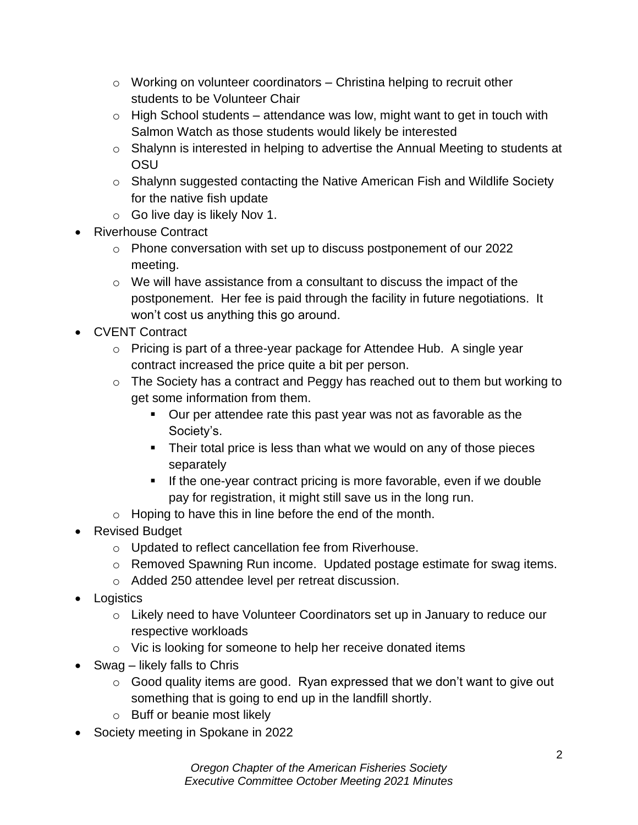- $\circ$  Working on volunteer coordinators Christina helping to recruit other students to be Volunteer Chair
- $\circ$  High School students attendance was low, might want to get in touch with Salmon Watch as those students would likely be interested
- o Shalynn is interested in helping to advertise the Annual Meeting to students at OSU
- o Shalynn suggested contacting the Native American Fish and Wildlife Society for the native fish update
- o Go live day is likely Nov 1.
- Riverhouse Contract
	- o Phone conversation with set up to discuss postponement of our 2022 meeting.
	- o We will have assistance from a consultant to discuss the impact of the postponement. Her fee is paid through the facility in future negotiations. It won't cost us anything this go around.
- CVENT Contract
	- o Pricing is part of a three-year package for Attendee Hub. A single year contract increased the price quite a bit per person.
	- o The Society has a contract and Peggy has reached out to them but working to get some information from them.
		- Our per attendee rate this past year was not as favorable as the Society's.
		- Their total price is less than what we would on any of those pieces separately
		- If the one-year contract pricing is more favorable, even if we double pay for registration, it might still save us in the long run.
	- $\circ$  Hoping to have this in line before the end of the month.
- Revised Budget
	- o Updated to reflect cancellation fee from Riverhouse.
	- o Removed Spawning Run income. Updated postage estimate for swag items.
	- o Added 250 attendee level per retreat discussion.
- Logistics
	- o Likely need to have Volunteer Coordinators set up in January to reduce our respective workloads
	- o Vic is looking for someone to help her receive donated items
- Swag likely falls to Chris
	- $\circ$  Good quality items are good. Ryan expressed that we don't want to give out something that is going to end up in the landfill shortly.
	- o Buff or beanie most likely
- Society meeting in Spokane in 2022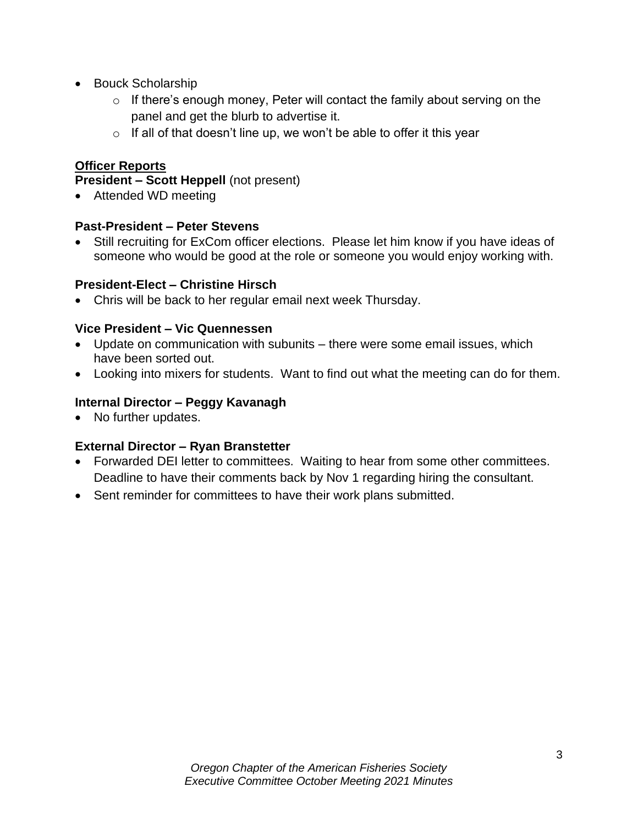- Bouck Scholarship
	- $\circ$  If there's enough money, Peter will contact the family about serving on the panel and get the blurb to advertise it.
	- $\circ$  If all of that doesn't line up, we won't be able to offer it this year

# **Officer Reports**

#### **President – Scott Heppell** (not present)

• Attended WD meeting

#### **Past-President – Peter Stevens**

Still recruiting for ExCom officer elections. Please let him know if you have ideas of someone who would be good at the role or someone you would enjoy working with.

#### **President-Elect – Christine Hirsch**

• Chris will be back to her regular email next week Thursday.

#### **Vice President – Vic Quennessen**

- Update on communication with subunits there were some email issues, which have been sorted out.
- Looking into mixers for students. Want to find out what the meeting can do for them.

# **Internal Director – Peggy Kavanagh**

• No further updates.

# **External Director – Ryan Branstetter**

- Forwarded DEI letter to committees. Waiting to hear from some other committees. Deadline to have their comments back by Nov 1 regarding hiring the consultant.
- Sent reminder for committees to have their work plans submitted.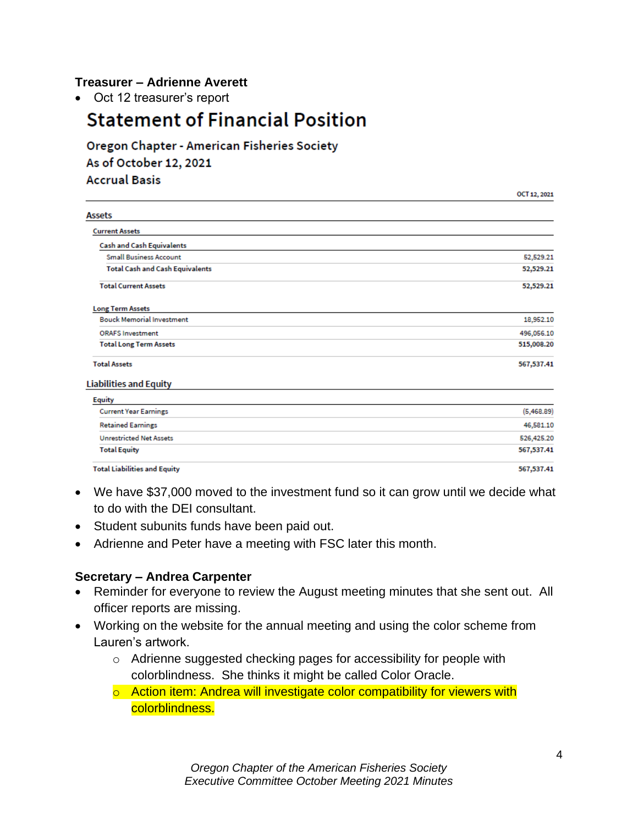#### **Treasurer – Adrienne Averett**

• Oct 12 treasurer's report

# **Statement of Financial Position**

Oregon Chapter - American Fisheries Society As of October 12, 2021 **Accrual Basis** 

|                                        | OCT 12, 2021 |
|----------------------------------------|--------------|
| <b>Assets</b>                          |              |
| <b>Current Assets</b>                  |              |
| <b>Cash and Cash Equivalents</b>       |              |
| <b>Small Business Account</b>          | 52,529.21    |
| <b>Total Cash and Cash Equivalents</b> | 52,529.21    |
| <b>Total Current Assets</b>            | 52,529.21    |
| <b>Long Term Assets</b>                |              |
| <b>Bouck Memorial Investment</b>       | 18,952.10    |
| <b>ORAFS Investment</b>                | 496,056.10   |
| <b>Total Long Term Assets</b>          | 515,008.20   |
| <b>Total Assets</b>                    | 567,537.41   |
| <b>Liabilities and Equity</b>          |              |
| <b>Equity</b>                          |              |
| <b>Current Year Earnings</b>           | (5,468.89)   |
| <b>Retained Earnings</b>               | 46,581.10    |
| <b>Unrestricted Net Assets</b>         | 526,425.20   |
| <b>Total Equity</b>                    | 567,537.41   |

**Total Liabilities and Equity** 

- We have \$37,000 moved to the investment fund so it can grow until we decide what to do with the DEI consultant.
- Student subunits funds have been paid out.
- Adrienne and Peter have a meeting with FSC later this month.

#### **Secretary – Andrea Carpenter**

- Reminder for everyone to review the August meeting minutes that she sent out. All officer reports are missing.
- Working on the website for the annual meeting and using the color scheme from Lauren's artwork.
	- o Adrienne suggested checking pages for accessibility for people with colorblindness. She thinks it might be called Color Oracle.
	- o Action item: Andrea will investigate color compatibility for viewers with colorblindness.

567,537.41